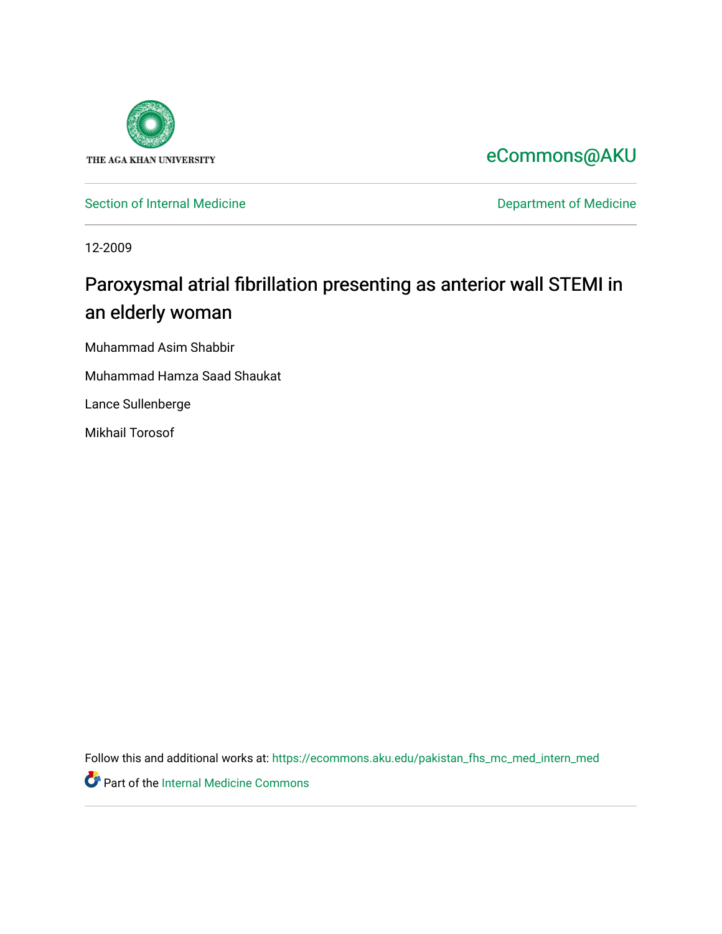

[eCommons@AKU](https://ecommons.aku.edu/) 

[Section of Internal Medicine](https://ecommons.aku.edu/pakistan_fhs_mc_med_intern_med) **Department of Medicine** Department of Medicine

12-2009

# Paroxysmal atrial fibrillation presenting as anterior wall STEMI in an elderly woman

Muhammad Asim Shabbir

Muhammad Hamza Saad Shaukat

Lance Sullenberge

Mikhail Torosof

Follow this and additional works at: [https://ecommons.aku.edu/pakistan\\_fhs\\_mc\\_med\\_intern\\_med](https://ecommons.aku.edu/pakistan_fhs_mc_med_intern_med?utm_source=ecommons.aku.edu%2Fpakistan_fhs_mc_med_intern_med%2F143&utm_medium=PDF&utm_campaign=PDFCoverPages) 

Part of the [Internal Medicine Commons](http://network.bepress.com/hgg/discipline/1356?utm_source=ecommons.aku.edu%2Fpakistan_fhs_mc_med_intern_med%2F143&utm_medium=PDF&utm_campaign=PDFCoverPages)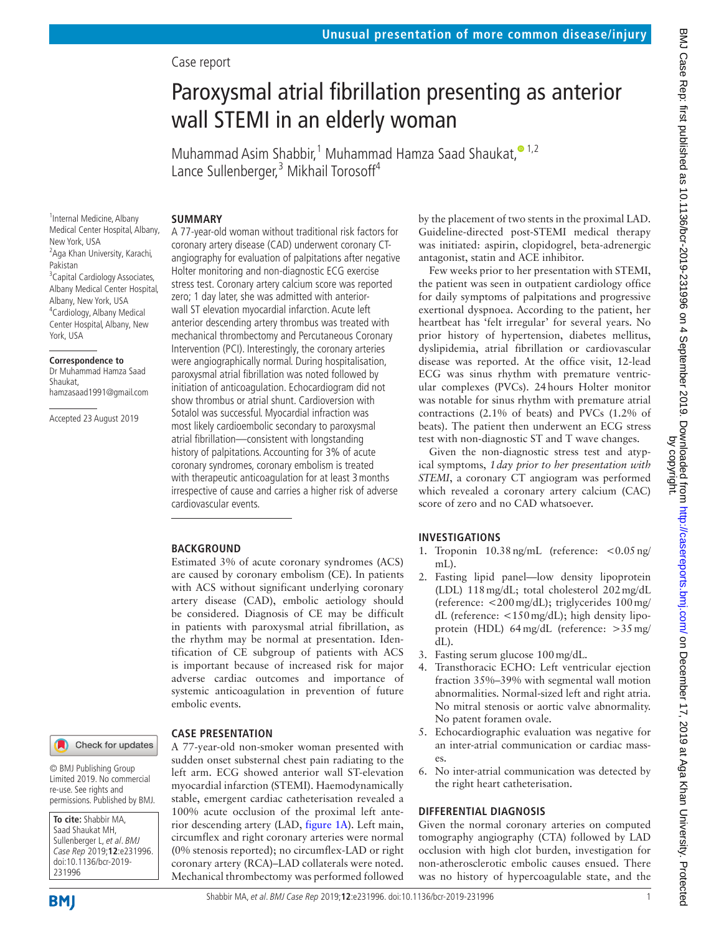### Case report

## Paroxysmal atrial fibrillation presenting as anterior wall STEMI in an elderly woman

Muhammad Asim Shabbir,<sup>1</sup> Muhammad Hamza Saad Shaukat,<sup>o 1,2</sup> Lance Sullenberger,<sup>3</sup> Mikhail Torosoff<sup>4</sup>

#### **Summary**

<sup>1</sup>Internal Medicine, Albany Medical Center Hospital, Albany, New York, USA <sup>2</sup>Aga Khan University, Karachi, Pakistan <sup>3</sup> Capital Cardiology Associates, Albany Medical Center Hospital, Albany, New York, USA 4 Cardiology, Albany Medical Center Hospital, Albany, New York, USA

#### **Correspondence to**

Dr Muhammad Hamza Saad Shaukat, hamzasaad1991@gmail.com

Accepted 23 August 2019

A 77-year-old woman without traditional risk factors for coronary artery disease (CAD) underwent coronary CTangiography for evaluation of palpitations after negative Holter monitoring and non-diagnostic ECG exercise stress test. Coronary artery calcium score was reported zero; 1 day later, she was admitted with anteriorwall ST elevation myocardial infarction. Acute left anterior descending artery thrombus was treated with mechanical thrombectomy and Percutaneous Coronary Intervention (PCI). Interestingly, the coronary arteries were angiographically normal. During hospitalisation, paroxysmal atrial fibrillation was noted followed by initiation of anticoagulation. Echocardiogram did not show thrombus or atrial shunt. Cardioversion with Sotalol was successful. Myocardial infraction was most likely cardioembolic secondary to paroxysmal atrial fibrillation—consistent with longstanding history of palpitations. Accounting for 3% of acute coronary syndromes, coronary embolism is treated with therapeutic anticoagulation for at least 3months irrespective of cause and carries a higher risk of adverse cardiovascular events.

#### **BACKGROUND**

Estimated 3% of acute coronary syndromes (ACS) are caused by coronary embolism (CE). In patients with ACS without significant underlying coronary artery disease (CAD), embolic aetiology should be considered. Diagnosis of CE may be difficult in patients with paroxysmal atrial fibrillation, as the rhythm may be normal at presentation. Identification of CE subgroup of patients with ACS is important because of increased risk for major adverse cardiac outcomes and importance of systemic anticoagulation in prevention of future embolic events.



**To cite:** Shabbir MA, Saad Shaukat MH, Sullenberger L, et al. BMJ Case Rep 2019;**12**:e231996. doi:10.1136/bcr-2019-

Limited 2019. No commercial re-use. See rights and permissions. Published by BMJ.

#### **Case presentation**

A 77-year-old non-smoker woman presented with sudden onset substernal chest pain radiating to the left arm. ECG showed anterior wall ST-elevation myocardial infarction (STEMI). Haemodynamically stable, emergent cardiac catheterisation revealed a 100% acute occlusion of the proximal left anterior descending artery (LAD, [figure](#page-2-0) 1A). Left main, circumflex and right coronary arteries were normal (0% stenosis reported); no circumflex-LAD or right coronary artery (RCA)–LAD collaterals were noted. Mechanical thrombectomy was performed followed

by the placement of two stents in the proximal LAD. Guideline-directed post-STEMI medical therapy was initiated: aspirin, clopidogrel, beta-adrenergic antagonist, statin and ACE inhibitor.

Few weeks prior to her presentation with STEMI, the patient was seen in outpatient cardiology office for daily symptoms of palpitations and progressive exertional dyspnoea. According to the patient, her heartbeat has 'felt irregular' for several years. No prior history of hypertension, diabetes mellitus, dyslipidemia, atrial fibrillation or cardiovascular disease was reported. At the office visit, 12-lead ECG was sinus rhythm with premature ventricular complexes (PVCs). 24hours Holter monitor was notable for sinus rhythm with premature atrial contractions (2.1% of beats) and PVCs (1.2% of beats). The patient then underwent an ECG stress test with non-diagnostic ST and T wave changes.

Given the non-diagnostic stress test and atypical symptoms, *1day prior to her presentation with STEMI*, a coronary CT angiogram was performed which revealed a coronary artery calcium (CAC) score of zero and no CAD whatsoever.

#### **Investigations**

- 1. Troponin 10.38ng/mL (reference: <0.05ng/ mL).
- 2. Fasting lipid panel—low density lipoprotein (LDL) 118mg/dL; total cholesterol 202mg/dL (reference: <200mg/dL); triglycerides 100mg/ dL (reference: <150mg/dL); high density lipoprotein (HDL) 64mg/dL (reference: >35mg/ dL).
- 3. Fasting serum glucose 100mg/dL.
- 4. Transthoracic ECHO: Left ventricular ejection fraction 35%–39% with segmental wall motion abnormalities. Normal-sized left and right atria. No mitral stenosis or aortic valve abnormality. No patent foramen ovale.
- 5. Echocardiographic evaluation was negative for an inter-atrial communication or cardiac masses.
- 6. No inter-atrial communication was detected by the right heart catheterisation.

#### **Differential diagnosis**

Given the normal coronary arteries on computed tomography angiography (CTA) followed by LAD occlusion with high clot burden, investigation for non-atherosclerotic embolic causes ensued. There was no history of hypercoagulable state, and the

231996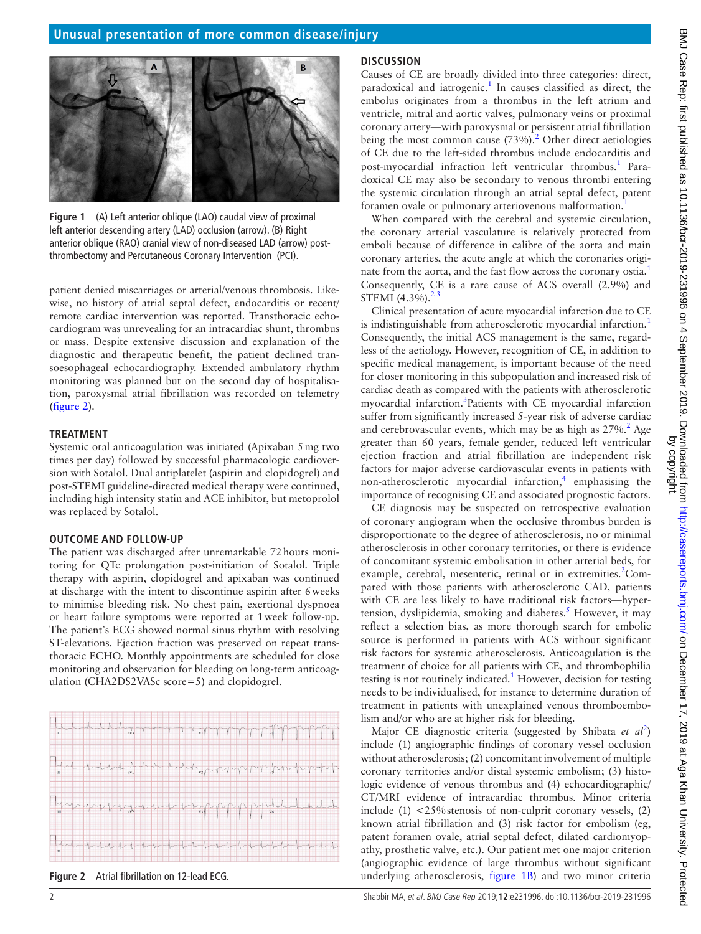

**Figure 1** (A) Left anterior oblique (LAO) caudal view of proximal left anterior descending artery (LAD) occlusion (arrow). (B) Right anterior oblique (RAO) cranial view of non-diseased LAD (arrow) postthrombectomy and Percutaneous Coronary Intervention (PCI).

<span id="page-2-0"></span>patient denied miscarriages or arterial/venous thrombosis. Likewise, no history of atrial septal defect, endocarditis or recent/ remote cardiac intervention was reported. Transthoracic echocardiogram was unrevealing for an intracardiac shunt, thrombus or mass. Despite extensive discussion and explanation of the diagnostic and therapeutic benefit, the patient declined transoesophageal echocardiography. Extended ambulatory rhythm monitoring was planned but on the second day of hospitalisation, paroxysmal atrial fibrillation was recorded on telemetry ([figure](#page-2-1) 2).

#### **TREATMENT**

Systemic oral anticoagulation was initiated (Apixaban 5mg two times per day) followed by successful pharmacologic cardioversion with Sotalol. Dual antiplatelet (aspirin and clopidogrel) and post-STEMI guideline-directed medical therapy were continued, including high intensity statin and ACE inhibitor, but metoprolol was replaced by Sotalol.

#### **Outcome and follow-up**

The patient was discharged after unremarkable 72hours monitoring for QTc prolongation post-initiation of Sotalol. Triple therapy with aspirin, clopidogrel and apixaban was continued at discharge with the intent to discontinue aspirin after 6weeks to minimise bleeding risk. No chest pain, exertional dyspnoea or heart failure symptoms were reported at 1week follow-up. The patient's ECG showed normal sinus rhythm with resolving ST-elevations. Ejection fraction was preserved on repeat transthoracic ECHO. Monthly appointments are scheduled for close monitoring and observation for bleeding on long-term anticoagulation (CHA2DS2VASc score=5) and clopidogrel.



<span id="page-2-1"></span>**Figure 2** Atrial fibrillation on 12-lead ECG.

#### **Discussion**

Causes of CE are broadly divided into three categories: direct, paradoxical and iatrogenic.<sup>[1](#page-3-0)</sup> In causes classified as direct, the embolus originates from a thrombus in the left atrium and ventricle, mitral and aortic valves, pulmonary veins or proximal coronary artery—with paroxysmal or persistent atrial fibrillation being the most common cause  $(73%)$ .<sup>[2](#page-3-1)</sup> Other direct aetiologies of CE due to the left-sided thrombus include endocarditis and post-myocardial infraction left ventricular thrombus.<sup>[1](#page-3-0)</sup> Paradoxical CE may also be secondary to venous thrombi entering the systemic circulation through an atrial septal defect, patent foramen ovale or pulmonary arteriovenous malformation.<sup>[1](#page-3-0)</sup>

When compared with the cerebral and systemic circulation, the coronary arterial vasculature is relatively protected from emboli because of difference in calibre of the aorta and main coronary arteries, the acute angle at which the coronaries origi-nate from the aorta, and the fast flow across the coronary ostia.<sup>[1](#page-3-0)</sup> Consequently, CE is a rare cause of ACS overall (2.9%) and STEMI  $(4.3\%)$ .<sup>2</sup>

Clinical presentation of acute myocardial infarction due to CE is indistinguishable from atherosclerotic myocardial infarction.<sup>[1](#page-3-0)</sup> Consequently, the initial ACS management is the same, regardless of the aetiology. However, recognition of CE, in addition to specific medical management, is important because of the need for closer monitoring in this subpopulation and increased risk of cardiac death as compared with the patients with atherosclerotic myocardial infarction.<sup>[3](#page-3-2)</sup>Patients with CE myocardial infarction suffer from significantly increased 5-year risk of adverse cardiac and cerebrovascular events, which may be as high as  $27\%$  $27\%$ .<sup>2</sup> Age greater than 60 years, female gender, reduced left ventricular ejection fraction and atrial fibrillation are independent risk factors for major adverse cardiovascular events in patients with non-atherosclerotic myocardial infarction,<sup>[4](#page-3-3)</sup> emphasising the importance of recognising CE and associated prognostic factors.

CE diagnosis may be suspected on retrospective evaluation of coronary angiogram when the occlusive thrombus burden is disproportionate to the degree of atherosclerosis, no or minimal atherosclerosis in other coronary territories, or there is evidence of concomitant systemic embolisation in other arterial beds, for example, cerebral, mesenteric, retinal or in extremities.<sup>2</sup>Compared with those patients with atherosclerotic CAD, patients with CE are less likely to have traditional risk factors—hypertension, dyslipidemia, smoking and diabetes.<sup>5</sup> However, it may reflect a selection bias, as more thorough search for embolic source is performed in patients with ACS without significant risk factors for systemic atherosclerosis. Anticoagulation is the treatment of choice for all patients with CE, and thrombophilia testing is not routinely indicated.<sup>[1](#page-3-0)</sup> However, decision for testing needs to be individualised, for instance to determine duration of treatment in patients with unexplained venous thromboembolism and/or who are at higher risk for bleeding.

Major CE diagnostic criteria (suggested by Shibata *et al*[2](#page-3-1) ) include (1) angiographic findings of coronary vessel occlusion without atherosclerosis; (2) concomitant involvement of multiple coronary territories and/or distal systemic embolism; (3) histologic evidence of venous thrombus and (4) echocardiographic/ CT/MRI evidence of intracardiac thrombus. Minor criteria include  $(1)$  <25% stenosis of non-culprit coronary vessels,  $(2)$ known atrial fibrillation and (3) risk factor for embolism (eg, patent foramen ovale, atrial septal defect, dilated cardiomyopathy, prosthetic valve, etc.). Our patient met one major criterion (angiographic evidence of large thrombus without significant underlying atherosclerosis, [figure](#page-2-0) 1B) and two minor criteria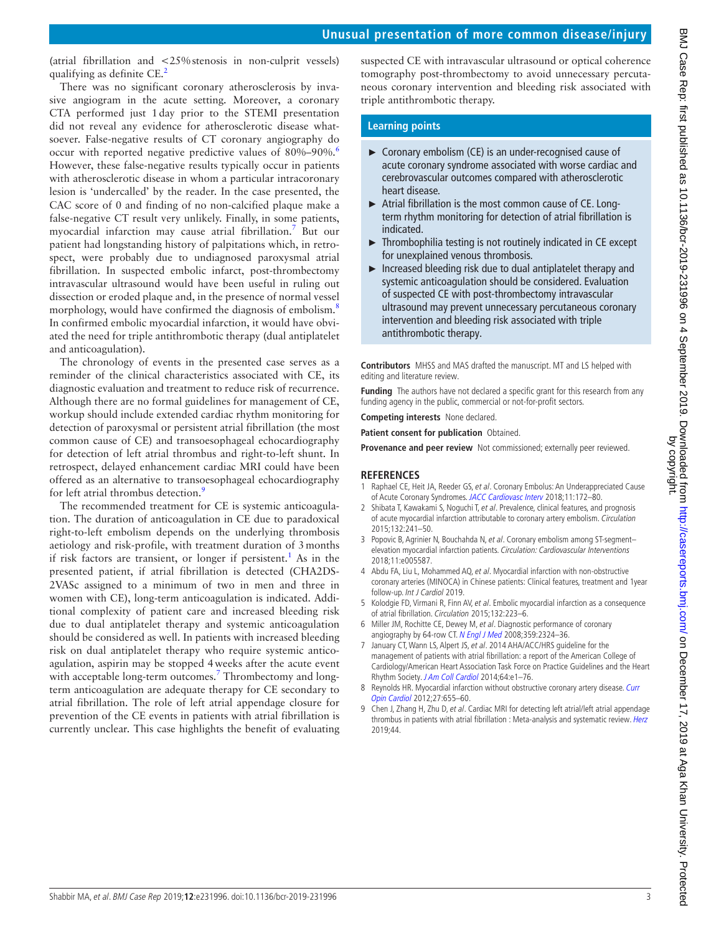### **Unusual presentation of more common disease/injury**

(atrial fibrillation and <25%stenosis in non-culprit vessels) qualifying as definite CE.<sup>2</sup>

There was no significant coronary atherosclerosis by invasive angiogram in the acute setting. Moreover, a coronary CTA performed just 1day prior to the STEMI presentation did not reveal any evidence for atherosclerotic disease whatsoever. False-negative results of CT coronary angiography do occur with reported negative predictive values of 80%–90%.<sup>6</sup> However, these false-negative results typically occur in patients with atherosclerotic disease in whom a particular intracoronary lesion is 'undercalled' by the reader. In the case presented, the CAC score of 0 and finding of no non-calcified plaque make a false-negative CT result very unlikely. Finally, in some patients, myocardial infarction may cause atrial fibrillation[.7](#page-3-6) But our patient had longstanding history of palpitations which, in retrospect, were probably due to undiagnosed paroxysmal atrial fibrillation. In suspected embolic infarct, post-thrombectomy intravascular ultrasound would have been useful in ruling out dissection or eroded plaque and, in the presence of normal vessel morphology, would have confirmed the diagnosis of embolism.<sup>[8](#page-3-7)</sup> In confirmed embolic myocardial infarction, it would have obviated the need for triple antithrombotic therapy (dual antiplatelet and anticoagulation).

The chronology of events in the presented case serves as a reminder of the clinical characteristics associated with CE, its diagnostic evaluation and treatment to reduce risk of recurrence. Although there are no formal guidelines for management of CE, workup should include extended cardiac rhythm monitoring for detection of paroxysmal or persistent atrial fibrillation (the most common cause of CE) and transoesophageal echocardiography for detection of left atrial thrombus and right-to-left shunt. In retrospect, delayed enhancement cardiac MRI could have been offered as an alternative to transoesophageal echocardiography for left atrial thrombus detection.<sup>9</sup>

The recommended treatment for CE is systemic anticoagulation. The duration of anticoagulation in CE due to paradoxical right-to-left embolism depends on the underlying thrombosis aetiology and risk-profile, with treatment duration of 3months if risk factors are transient, or longer if persistent.<sup>[1](#page-3-0)</sup> As in the presented patient, if atrial fibrillation is detected (CHA2DS-2VASc assigned to a minimum of two in men and three in women with CE), long-term anticoagulation is indicated. Additional complexity of patient care and increased bleeding risk due to dual antiplatelet therapy and systemic anticoagulation should be considered as well. In patients with increased bleeding risk on dual antiplatelet therapy who require systemic anticoagulation, aspirin may be stopped 4weeks after the acute event with acceptable long-term outcomes.<sup>[7](#page-3-6)</sup> Thrombectomy and longterm anticoagulation are adequate therapy for CE secondary to atrial fibrillation. The role of left atrial appendage closure for prevention of the CE events in patients with atrial fibrillation is currently unclear. This case highlights the benefit of evaluating

suspected CE with intravascular ultrasound or optical coherence tomography post-thrombectomy to avoid unnecessary percutaneous coronary intervention and bleeding risk associated with triple antithrombotic therapy.

#### **Learning points**

- ► Coronary embolism (CE) is an under-recognised cause of acute coronary syndrome associated with worse cardiac and cerebrovascular outcomes compared with atherosclerotic heart disease.
- ► Atrial fibrillation is the most common cause of CE. Longterm rhythm monitoring for detection of atrial fibrillation is indicated.
- ► Thrombophilia testing is not routinely indicated in CE except for unexplained venous thrombosis.
- ► Increased bleeding risk due to dual antiplatelet therapy and systemic anticoagulation should be considered. Evaluation of suspected CE with post-thrombectomy intravascular ultrasound may prevent unnecessary percutaneous coronary intervention and bleeding risk associated with triple antithrombotic therapy.

**Contributors** MHSS and MAS drafted the manuscript. MT and LS helped with editing and literature review.

**Funding** The authors have not declared a specific grant for this research from any funding agency in the public, commercial or not-for-profit sectors.

**Competing interests** None declared.

**Patient consent for publication** Obtained.

**Provenance and peer review** Not commissioned; externally peer reviewed.

#### **References**

- <span id="page-3-0"></span>1 Raphael CE, Heit JA, Reeder GS, et al. Coronary Embolus: An Underappreciated Cause of Acute Coronary Syndromes. [JACC Cardiovasc Interv](http://dx.doi.org/10.1016/j.jcin.2017.08.057) 2018;11:172-80.
- <span id="page-3-1"></span>2 Shibata T, Kawakami S, Noguchi T, et al. Prevalence, clinical features, and prognosis of acute myocardial infarction attributable to coronary artery embolism. Circulation 2015;132:241–50.
- <span id="page-3-2"></span>3 Popovic B, Agrinier N, Bouchahda N, et al. Coronary embolism among ST-segmentelevation myocardial infarction patients. Circulation: Cardiovascular Interventions 2018;11:e005587.
- <span id="page-3-3"></span>4 Abdu FA, Liu L, Mohammed AQ, et al. Myocardial infarction with non-obstructive coronary arteries (MINOCA) in Chinese patients: Clinical features, treatment and 1year follow-up. Int J Cardiol 2019.
- <span id="page-3-4"></span>5 Kolodgie FD, Virmani R, Finn AV, et al. Embolic myocardial infarction as a consequence of atrial fibrillation. Circulation 2015;132:223–6.
- <span id="page-3-5"></span>6 Miller JM, Rochitte CE, Dewey M, et al. Diagnostic performance of coronary angiography by 64-row CT. [N Engl J Med](http://dx.doi.org/10.1056/NEJMoa0806576) 2008;359:2324-36.
- <span id="page-3-6"></span>7 January CT, Wann LS, Alpert JS, et al. 2014 AHA/ACC/HRS quideline for the management of patients with atrial fibrillation: a report of the American College of Cardiology/American Heart Association Task Force on Practice Guidelines and the Heart Rhythm Society. [J Am Coll Cardiol](http://dx.doi.org/10.1016/j.jacc.2014.03.022) 2014;64:e1-76.
- <span id="page-3-7"></span>8 Reynolds HR. Myocardial infarction without obstructive coronary artery disease. Curr [Opin Cardiol](http://dx.doi.org/10.1097/HCO.0b013e3283583247) 2012;27:655–60.
- <span id="page-3-8"></span>9 Chen J, Zhang H, Zhu D, et al. Cardiac MRI for detecting left atrial/left atrial appendage thrombus in patients with atrial fibrillation : Meta-analysis and systematic review. [Herz](http://dx.doi.org/10.1007/s00059-017-4676-9) 2019;44.